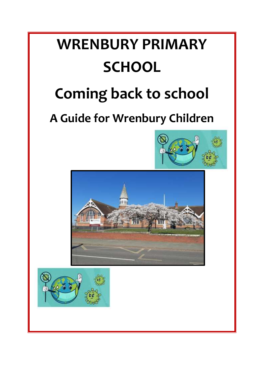# **WRENBURY PRIMARY SCHOOL**

# **Coming back to school**

# **A Guide for Wrenbury Children**





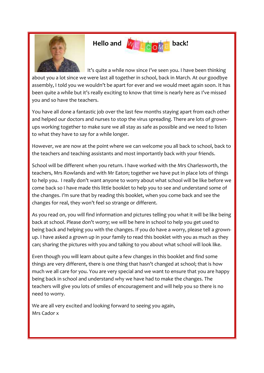

# Hello and  $M \in \mathbb{C}$  o<sub>M</sub> back!

 It's quite a while now since I've seen you. I have been thinking about you a lot since we were last all together in school, back in March. At our goodbye assembly, I told you we wouldn't be apart for ever and we would meet again soon. It has been quite a while but it's really exciting to know that time is nearly here as I've missed you and so have the teachers.

You have all done a fantastic job over the last few months staying apart from each other and helped our doctors and nurses to stop the virus spreading. There are lots of grownups working together to make sure we all stay as safe as possible and we need to listen to what they have to say for a while longer.

However, we are now at the point where we can welcome you all back to school, back to the teachers and teaching assistants and most importantly back with your friends.

School will be different when you return. I have worked with the Mrs Charlesworth, the teachers, Mrs Rowlands and with Mr Eaton; together we have put in place lots of things to help you. I really don't want anyone to worry about what school will be like before we come back so I have made this little booklet to help you to see and understand some of the changes. I'm sure that by reading this booklet, when you come back and see the changes for real, they won't feel so strange or different.

As you read on, you will find information and pictures telling you what it will be like being back at school. Please don't worry; we will be here in school to help you get used to being back and helping you with the changes. If you do have a worry, please tell a grownup. I have asked a grown up in your family to read this booklet with you as much as they can; sharing the pictures with you and talking to you about what school will look like.

Even though you will learn about quite a few changes in this booklet and find some things are very different, there is one thing that hasn't changed at school; that is how much we all care for you. You are very special and we want to ensure that you are happy being back in school and understand why we have had to make the changes. The teachers will give you lots of smiles of encouragement and will help you so there is no need to worry.

We are all very excited and looking forward to seeing you again, Mrs Cador x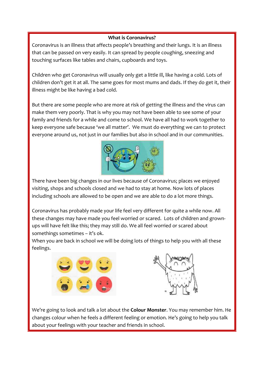#### **What is Coronavirus?**

Coronavirus is an illness that affects people's breathing and their lungs. It is an illness that can be passed on very easily. It can spread by people coughing, sneezing and touching surfaces like tables and chairs, cupboards and toys.

Children who get Coronavirus will usually only get a little ill, like having a cold. Lots of children don't get it at all. The same goes for most mums and dads. If they do get it, their illness might be like having a bad cold.

But there are some people who are more at risk of getting the illness and the virus can make them very poorly. That is why you may not have been able to see some of your family and friends for a while and come to school. We have all had to work together to keep everyone safe because 'we all matter'. We must do everything we can to protect everyone around us, not just in our families but also in school and in our communities.



There have been big changes in our lives because of Coronavirus; places we enjoyed visiting, shops and schools closed and we had to stay at home. Now lots of places including schools are allowed to be open and we are able to do a lot more things.

Coronavirus has probably made your life feel very different for quite a while now. All these changes may have made you feel worried or scared. Lots of children and grownups will have felt like this; they may still do. We all feel worried or scared about somethings sometimes – it's ok.

When you are back in school we will be doing lots of things to help you with all these feelings.





We're going to look and talk a lot about the **Colour Monster**. You may remember him. He changes colour when he feels a different feeling or emotion. He's going to help you talk about your feelings with your teacher and friends in school.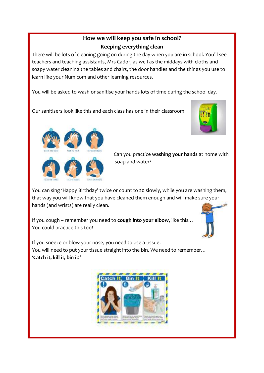## **How we will keep you safe in school? Keeping everything clean**

There will be lots of cleaning going on during the day when you are in school. You'll see teachers and teaching assistants, Mrs Cador, as well as the middays with cloths and soapy water cleaning the tables and chairs, the door handles and the things you use to learn like your Numicom and other learning resources.

You will be asked to wash or sanitise your hands lots of time during the school day.

Our sanitisers look like this and each class has one in their classroom.





 Can you practice **washing your hands** at home with soap and water?

You can sing 'Happy Birthday' twice or count to 20 slowly, while you are washing them, that way you will know that you have cleaned them enough and will make sure your hands (and wrists) are really clean.

If you cough – remember you need to **cough into your elbow**, like this… You could practice this too!



If you sneeze or blow your nose, you need to use a tissue. You will need to put your tissue straight into the bin. We need to remember… **'Catch it, kill it, bin it!'**

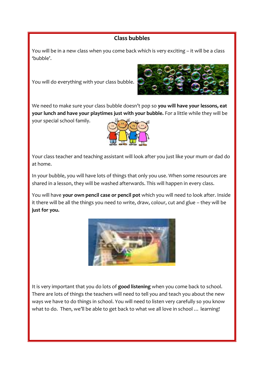## **Class bubbles**

You will be in a new class when you come back which is very exciting – it will be a class 'bubble'.

You will do everything with your class bubble.



We need to make sure your class bubble doesn't pop so **you will have your lessons, eat your lunch and have your playtimes just with your bubble.** For a little while they will be

your special school family.



Your class teacher and teaching assistant will look after you just like your mum or dad do at home.

In your bubble, you will have lots of things that only you use. When some resources are shared in a lesson, they will be washed afterwards. This will happen in every class.

You will have **your own pencil case or pencil pot** which you will need to look after. Inside it there will be all the things you need to write, draw, colour, cut and glue – they will be **just for you.**



It is very important that you do lots of **good listening** when you come back to school. There are lots of things the teachers will need to tell you and teach you about the new ways we have to do things in school. You will need to listen very carefully so you know what to do. Then, we'll be able to get back to what we all love in school … learning!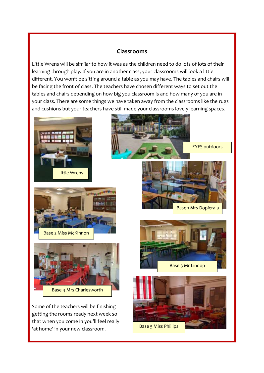### **Classrooms**

Little Wrens will be similar to how it was as the children need to do lots of lots of their learning through play. If you are in another class, your classrooms will look a little different. You won't be sitting around a table as you may have. The tables and chairs will be facing the front of class. The teachers have chosen different ways to set out the tables and chairs depending on how big you classroom is and how many of you are in your class. There are some things we have taken away from the classrooms like the rugs and cushions but your teachers have still made your classrooms lovely learning spaces.





Base 2 Miss McKinnon



Some of the teachers will be finishing getting the rooms ready next week so that when you come in you'll feel really 'at home' in your new classroom.



Base 1 Mrs Dopierala



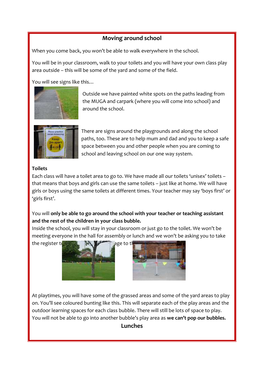### **Moving around school**

When you come back, you won't be able to walk everywhere in the school.

You will be in your classroom, walk to your toilets and you will have your own class play area outside – this will be some of the yard and some of the field.

You will see signs like this…



 Outside we have painted white spots on the paths leading from the MUGA and carpark (where you will come into school) and around the school.



 There are signs around the playgrounds and along the school paths, too. These are to help mum and dad and you to keep a safe space between you and other people when you are coming to school and leaving school on our one way system.

#### **Toilets**

Each class will have a toilet area to go to. We have made all our toilets 'unisex' toilets – that means that boys and girls can use the same toilets – just like at home. We will have girls or boys using the same toilets at different times. Your teacher may say 'boys first' or 'girls first'.

You will **only be able to go around the school with your teacher or teaching assistant and the rest of the children in your class bubble.**

Inside the school, you will stay in your classroom or just go to the toilet. We won't be meeting everyone in the hall for assembly or lunch and we won't be asking you to take





At playtimes, you will have some of the grassed areas and some of the yard areas to play on. You'll see coloured bunting like this. This will separate each of the play areas and the outdoor learning spaces for each class bubble. There will still be lots of space to play. You will not be able to go into another bubble's play area as **we can't pop our bubbles.**

#### **Lunches**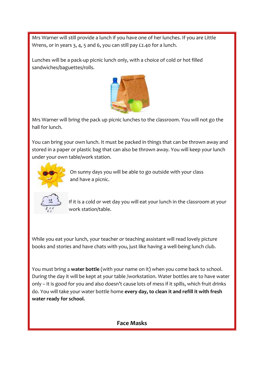Mrs Warner will still provide a lunch if you have one of her lunches. If you are Little Wrens, or in years 3, 4, 5 and 6, you can still pay £2.40 for a lunch.

Lunches will be a pack-up picnic lunch only, with a choice of cold or hot filled sandwiches/baguettes/rolls.



Mrs Warner will bring the pack up picnic lunches to the classroom. You will not go the hall for lunch.

You can bring your own lunch. It must be packed in things that can be thrown away and stored in a paper or plastic bag that can also be thrown away. You will keep your lunch under your own table/work station.



 On sunny days you will be able to go outside with your class and have a picnic.



 If it is a cold or wet day you will eat your lunch in the classroom at your work station/table.

While you eat your lunch, your teacher or teaching assistant will read lovely picture books and stories and have chats with you, just like having a well-being lunch club.

You must bring a **water bottle** (with your name on it) when you come back to school. During the day it will be kept at your table /workstation. Water bottles are to have water only – it is good for you and also doesn't cause lots of mess if it spills, which fruit drinks do. You will take your water bottle home **every day, to clean it and refill it with fresh water ready for school.**

**Face Masks**